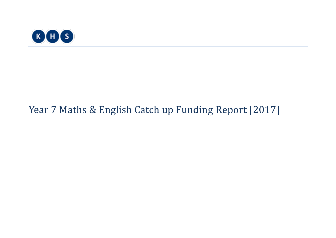

# Year 7 Maths & English Catch up Funding Report [2017]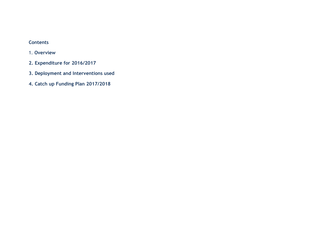## **Contents**

- 1. **Overview**
- **2. Expenditure for 2016/2017**
- **3. Deployment and Interventions used**
- **4. Catch up Funding Plan 2017/2018**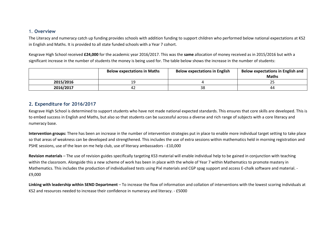#### 1. **Overview**

The Literacy and numeracy catch up funding provides schools with addition funding to support children who performed below national expectations at KS2 in English and Maths. It is provided to all state funded schools with a Year 7 cohort.

Kesgrave High School received **£24,000** for the academic year 2016/2017. This was the **same** allocation of money received as in 2015/2016 but with a significant increase in the number of students the money is being used for. The table below shows the increase in the number of students:

|           | <b>Below expectations in Maths</b> | <b>Below expectations in English</b> | Below expectations in English and<br><b>Maths</b> |
|-----------|------------------------------------|--------------------------------------|---------------------------------------------------|
| 2015/2016 | 1 Q<br>--                          |                                      | <u>_ _</u>                                        |
| 2016/2017 | 42                                 | 38                                   | 44                                                |

#### **2. Expenditure for 2016/2017**

Kesgrave High School is determined to support students who have not made national expected standards. This ensures that core skills are developed. This is to embed success in English and Maths, but also so that students can be successful across a diverse and rich range of subjects with a core literacy and numeracy base.

**Intervention groups:** There has been an increase in the number of intervention strategies put in place to enable more individual target setting to take place so that areas of weakness can be developed and strengthened. This includes the use of extra sessions within mathematics held in morning registration and PSHE sessions, use of the lean on me help club, use of literacy ambassadors - £10,000

**Revision materials** – The use of revision guides specifically targeting KS3 material will enable individual help to be gained in conjunction with teaching within the classroom. Alongside this a new scheme of work has been in place with the whole of Year 7 within Mathematics to promote mastery in Mathematics. This includes the production of individualised tests using Pixl materials and CGP spag support and access E-chalk software and material. - £9,000

**Linking with leadership within SEND Department** – To increase the flow of information and collation of interventions with the lowest scoring individuals at KS2 and resources needed to increase their confidence in numeracy and literacy. - £5000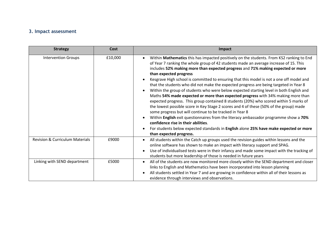# **3. Impact assessment**

| <b>Strategy</b>                            | <b>Cost</b> | Impact                                                                                                                                                                                                                                                                                                                                                                                                                                                                                                                                                                                                                                                                                                                                                                                                                                                                                                                                                                                                                                                                                                                                                              |
|--------------------------------------------|-------------|---------------------------------------------------------------------------------------------------------------------------------------------------------------------------------------------------------------------------------------------------------------------------------------------------------------------------------------------------------------------------------------------------------------------------------------------------------------------------------------------------------------------------------------------------------------------------------------------------------------------------------------------------------------------------------------------------------------------------------------------------------------------------------------------------------------------------------------------------------------------------------------------------------------------------------------------------------------------------------------------------------------------------------------------------------------------------------------------------------------------------------------------------------------------|
| <b>Intervention Groups</b>                 | £10,000     | Within Mathematics this has impacted positively on the students. From KS2 ranking to End<br>of Year 7 ranking the whole group of 42 students made an average increase of 15. This<br>includes 52% making more than expected progress and 71% making expected or more<br>than expected progress<br>Kesgrave High school is committed to ensuring that this model is not a one off model and<br>that the students who did not make the expected progress are being targeted in Year 8<br>Within the group of students who were below expected starting level in both English and<br>Maths 54% made expected or more than expected progress with 34% making more than<br>expected progress. This group contained 8 students (20%) who scored within 5 marks of<br>the lowest possible score in Key Stage 2 scores and 4 of these (50% of the group) made<br>some progress but will continue to be tracked in Year 8<br>Within English exit questionnaires from the literacy ambassador programme show a 70%<br>confidence rise in their abilities.<br>For students below expected standards in English alone 25% have make expected or more<br>than expected progress. |
| <b>Revision &amp; Curriculum Materials</b> | £9000       | All students within the Catch up groups used the revision guides within lessons and the<br>online software has shown to make an impact with literacy support and SPAG.<br>Use of individualised tests were in their infancy and made some impact with the tracking of<br>students but more leadership of those is needed in future years                                                                                                                                                                                                                                                                                                                                                                                                                                                                                                                                                                                                                                                                                                                                                                                                                            |
| Linking with SEND department               | £5000       | All of the students are now monitored more closely within the SEND department and closer<br>links to English and Mathematics have been incorporated into lesson planning<br>All students settled in Year 7 and are growing in confidence within all of their lessons as<br>evidence through interviews and observations.                                                                                                                                                                                                                                                                                                                                                                                                                                                                                                                                                                                                                                                                                                                                                                                                                                            |